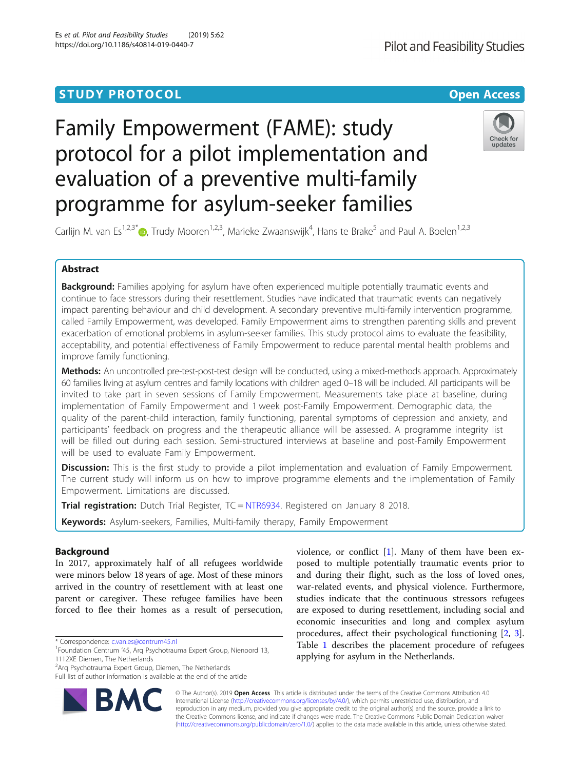# **STUDY PROTOCOL CONSUMING THE RESERVE ACCESS**

# Family Empowerment (FAME): study protocol for a pilot implementation and evaluation of a preventive multi-family programme for asylum-seeker families



Carlijn M. van Es<sup>1[,](http://orcid.org/0000-0002-5172-8232)2,3\*</sup>®, Trudy Mooren<sup>1,2,3</sup>, Marieke Zwaanswijk<sup>4</sup>, Hans te Brake<sup>5</sup> and Paul A. Boelen<sup>1,2,3</sup>

# Abstract

Background: Families applying for asylum have often experienced multiple potentially traumatic events and continue to face stressors during their resettlement. Studies have indicated that traumatic events can negatively impact parenting behaviour and child development. A secondary preventive multi-family intervention programme, called Family Empowerment, was developed. Family Empowerment aims to strengthen parenting skills and prevent exacerbation of emotional problems in asylum-seeker families. This study protocol aims to evaluate the feasibility, acceptability, and potential effectiveness of Family Empowerment to reduce parental mental health problems and improve family functioning.

Methods: An uncontrolled pre-test-post-test design will be conducted, using a mixed-methods approach. Approximately 60 families living at asylum centres and family locations with children aged 0–18 will be included. All participants will be invited to take part in seven sessions of Family Empowerment. Measurements take place at baseline, during implementation of Family Empowerment and 1 week post-Family Empowerment. Demographic data, the quality of the parent-child interaction, family functioning, parental symptoms of depression and anxiety, and participants' feedback on progress and the therapeutic alliance will be assessed. A programme integrity list will be filled out during each session. Semi-structured interviews at baseline and post-Family Empowerment will be used to evaluate Family Empowerment.

**Discussion:** This is the first study to provide a pilot implementation and evaluation of Family Empowerment. The current study will inform us on how to improve programme elements and the implementation of Family Empowerment. Limitations are discussed.

Trial registration: Dutch Trial Register, TC = [NTR6934.](https://www.trialregister.nl/trial/6723) Registered on January 8 2018.

Keywords: Asylum-seekers, Families, Multi-family therapy, Family Empowerment

# Background

In 2017, approximately half of all refugees worldwide were minors below 18 years of age. Most of these minors arrived in the country of resettlement with at least one parent or caregiver. These refugee families have been forced to flee their homes as a result of persecution,

Full list of author information is available at the end of the article



violence, or conflict [[1\]](#page-7-0). Many of them have been exposed to multiple potentially traumatic events prior to and during their flight, such as the loss of loved ones, war-related events, and physical violence. Furthermore, studies indicate that the continuous stressors refugees are exposed to during resettlement, including social and economic insecurities and long and complex asylum procedures, affect their psychological functioning [\[2](#page-7-0), [3](#page-7-0)]. Table [1](#page-1-0) describes the placement procedure of refugees applying for asylum in the Netherlands.

© The Author(s). 2019 **Open Access** This article is distributed under the terms of the Creative Commons Attribution 4.0 International License [\(http://creativecommons.org/licenses/by/4.0/](http://creativecommons.org/licenses/by/4.0/)), which permits unrestricted use, distribution, and reproduction in any medium, provided you give appropriate credit to the original author(s) and the source, provide a link to the Creative Commons license, and indicate if changes were made. The Creative Commons Public Domain Dedication waiver [\(http://creativecommons.org/publicdomain/zero/1.0/](http://creativecommons.org/publicdomain/zero/1.0/)) applies to the data made available in this article, unless otherwise stated.

<sup>\*</sup> Correspondence: [c.van.es@centrum45.nl](mailto:c.van.es@centrum45.nl) <sup>1</sup>

<sup>&</sup>lt;sup>1</sup>Foundation Centrum '45, Arq Psychotrauma Expert Group, Nienoord 13, 1112XE Diemen, The Netherlands

<sup>&</sup>lt;sup>2</sup> Arq Psychotrauma Expert Group, Diemen, The Netherlands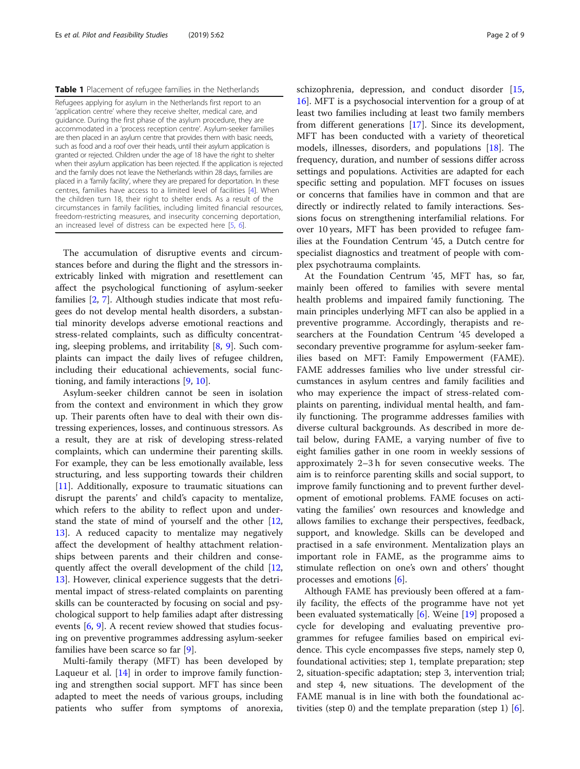## <span id="page-1-0"></span>Table 1 Placement of refugee families in the Netherlands

Refugees applying for asylum in the Netherlands first report to an 'application centre' where they receive shelter, medical care, and guidance. During the first phase of the asylum procedure, they are accommodated in a 'process reception centre'. Asylum-seeker families are then placed in an asylum centre that provides them with basic needs, such as food and a roof over their heads, until their asylum application is granted or rejected. Children under the age of 18 have the right to shelter when their asylum application has been rejected. If the application is rejected and the family does not leave the Netherlands within 28 days, families are placed in a 'family facility', where they are prepared for deportation. In these centres, families have access to a limited level of facilities [\[4](#page-7-0)]. When the children turn 18, their right to shelter ends. As a result of the circumstances in family facilities, including limited financial resources, freedom-restricting measures, and insecurity concerning deportation, an increased level of distress can be expected here [[5,](#page-7-0) [6](#page-7-0)].

The accumulation of disruptive events and circumstances before and during the flight and the stressors inextricably linked with migration and resettlement can affect the psychological functioning of asylum-seeker families [[2](#page-7-0), [7\]](#page-7-0). Although studies indicate that most refugees do not develop mental health disorders, a substantial minority develops adverse emotional reactions and stress-related complaints, such as difficulty concentrating, sleeping problems, and irritability [\[8](#page-7-0), [9\]](#page-7-0). Such complaints can impact the daily lives of refugee children, including their educational achievements, social functioning, and family interactions [[9,](#page-7-0) [10\]](#page-7-0).

Asylum-seeker children cannot be seen in isolation from the context and environment in which they grow up. Their parents often have to deal with their own distressing experiences, losses, and continuous stressors. As a result, they are at risk of developing stress-related complaints, which can undermine their parenting skills. For example, they can be less emotionally available, less structuring, and less supporting towards their children [[11\]](#page-7-0). Additionally, exposure to traumatic situations can disrupt the parents' and child's capacity to mentalize, which refers to the ability to reflect upon and understand the state of mind of yourself and the other [[12](#page-7-0), [13\]](#page-7-0). A reduced capacity to mentalize may negatively affect the development of healthy attachment relationships between parents and their children and consequently affect the overall development of the child [[12](#page-7-0), [13\]](#page-7-0). However, clinical experience suggests that the detrimental impact of stress-related complaints on parenting skills can be counteracted by focusing on social and psychological support to help families adapt after distressing events [[6,](#page-7-0) [9\]](#page-7-0). A recent review showed that studies focusing on preventive programmes addressing asylum-seeker families have been scarce so far [[9](#page-7-0)].

Multi-family therapy (MFT) has been developed by Laqueur et al. [\[14](#page-7-0)] in order to improve family functioning and strengthen social support. MFT has since been adapted to meet the needs of various groups, including patients who suffer from symptoms of anorexia,

schizophrenia, depression, and conduct disorder [[15](#page-7-0), [16\]](#page-7-0). MFT is a psychosocial intervention for a group of at least two families including at least two family members from different generations [\[17](#page-7-0)]. Since its development, MFT has been conducted with a variety of theoretical models, illnesses, disorders, and populations [\[18](#page-7-0)]. The frequency, duration, and number of sessions differ across settings and populations. Activities are adapted for each specific setting and population. MFT focuses on issues or concerns that families have in common and that are directly or indirectly related to family interactions. Sessions focus on strengthening interfamilial relations. For over 10 years, MFT has been provided to refugee families at the Foundation Centrum '45, a Dutch centre for specialist diagnostics and treatment of people with complex psychotrauma complaints.

At the Foundation Centrum '45, MFT has, so far, mainly been offered to families with severe mental health problems and impaired family functioning. The main principles underlying MFT can also be applied in a preventive programme. Accordingly, therapists and researchers at the Foundation Centrum '45 developed a secondary preventive programme for asylum-seeker families based on MFT: Family Empowerment (FAME). FAME addresses families who live under stressful circumstances in asylum centres and family facilities and who may experience the impact of stress-related complaints on parenting, individual mental health, and family functioning. The programme addresses families with diverse cultural backgrounds. As described in more detail below, during FAME, a varying number of five to eight families gather in one room in weekly sessions of approximately 2–3 h for seven consecutive weeks. The aim is to reinforce parenting skills and social support, to improve family functioning and to prevent further development of emotional problems. FAME focuses on activating the families' own resources and knowledge and allows families to exchange their perspectives, feedback, support, and knowledge. Skills can be developed and practised in a safe environment. Mentalization plays an important role in FAME, as the programme aims to stimulate reflection on one's own and others' thought processes and emotions [\[6\]](#page-7-0).

Although FAME has previously been offered at a family facility, the effects of the programme have not yet been evaluated systematically [\[6\]](#page-7-0). Weine [\[19](#page-7-0)] proposed a cycle for developing and evaluating preventive programmes for refugee families based on empirical evidence. This cycle encompasses five steps, namely step 0, foundational activities; step 1, template preparation; step 2, situation-specific adaptation; step 3, intervention trial; and step 4, new situations. The development of the FAME manual is in line with both the foundational activities (step 0) and the template preparation (step 1) [\[6](#page-7-0)].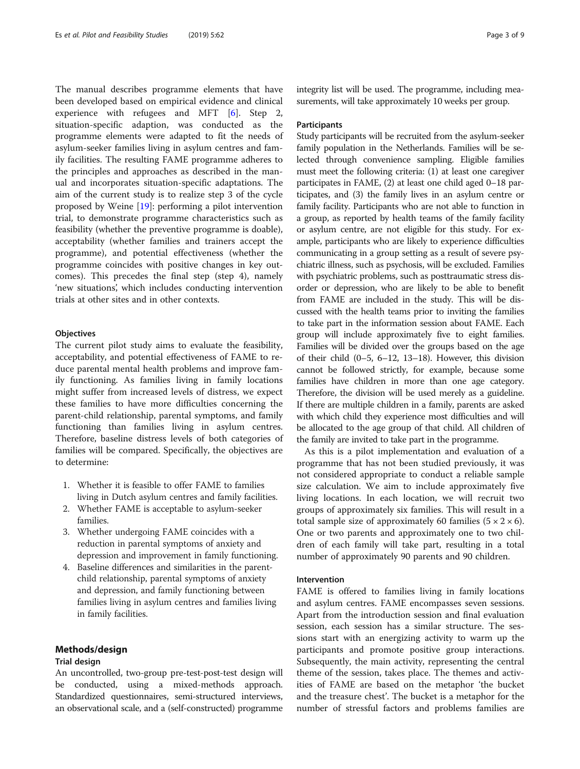The manual describes programme elements that have been developed based on empirical evidence and clinical experience with refugees and MFT [\[6\]](#page-7-0). Step 2, situation-specific adaption, was conducted as the programme elements were adapted to fit the needs of asylum-seeker families living in asylum centres and family facilities. The resulting FAME programme adheres to the principles and approaches as described in the manual and incorporates situation-specific adaptations. The aim of the current study is to realize step 3 of the cycle proposed by Weine [[19](#page-7-0)]: performing a pilot intervention trial, to demonstrate programme characteristics such as feasibility (whether the preventive programme is doable), acceptability (whether families and trainers accept the programme), and potential effectiveness (whether the programme coincides with positive changes in key outcomes). This precedes the final step (step 4), namely 'new situations', which includes conducting intervention trials at other sites and in other contexts.

# **Objectives**

The current pilot study aims to evaluate the feasibility, acceptability, and potential effectiveness of FAME to reduce parental mental health problems and improve family functioning. As families living in family locations might suffer from increased levels of distress, we expect these families to have more difficulties concerning the parent-child relationship, parental symptoms, and family functioning than families living in asylum centres. Therefore, baseline distress levels of both categories of families will be compared. Specifically, the objectives are to determine:

- 1. Whether it is feasible to offer FAME to families living in Dutch asylum centres and family facilities.
- 2. Whether FAME is acceptable to asylum-seeker families.
- 3. Whether undergoing FAME coincides with a reduction in parental symptoms of anxiety and depression and improvement in family functioning.
- 4. Baseline differences and similarities in the parentchild relationship, parental symptoms of anxiety and depression, and family functioning between families living in asylum centres and families living in family facilities.

# Methods/design

# Trial design

An uncontrolled, two-group pre-test-post-test design will be conducted, using a mixed-methods approach. Standardized questionnaires, semi-structured interviews, an observational scale, and a (self-constructed) programme integrity list will be used. The programme, including measurements, will take approximately 10 weeks per group.

## **Participants**

Study participants will be recruited from the asylum-seeker family population in the Netherlands. Families will be selected through convenience sampling. Eligible families must meet the following criteria: (1) at least one caregiver participates in FAME, (2) at least one child aged 0–18 participates, and (3) the family lives in an asylum centre or family facility. Participants who are not able to function in a group, as reported by health teams of the family facility or asylum centre, are not eligible for this study. For example, participants who are likely to experience difficulties communicating in a group setting as a result of severe psychiatric illness, such as psychosis, will be excluded. Families with psychiatric problems, such as posttraumatic stress disorder or depression, who are likely to be able to benefit from FAME are included in the study. This will be discussed with the health teams prior to inviting the families to take part in the information session about FAME. Each group will include approximately five to eight families. Families will be divided over the groups based on the age of their child (0–5, 6–12, 13–18). However, this division cannot be followed strictly, for example, because some families have children in more than one age category. Therefore, the division will be used merely as a guideline. If there are multiple children in a family, parents are asked with which child they experience most difficulties and will be allocated to the age group of that child. All children of the family are invited to take part in the programme.

As this is a pilot implementation and evaluation of a programme that has not been studied previously, it was not considered appropriate to conduct a reliable sample size calculation. We aim to include approximately five living locations. In each location, we will recruit two groups of approximately six families. This will result in a total sample size of approximately 60 families  $(5 \times 2 \times 6)$ . One or two parents and approximately one to two children of each family will take part, resulting in a total number of approximately 90 parents and 90 children.

# Intervention

FAME is offered to families living in family locations and asylum centres. FAME encompasses seven sessions. Apart from the introduction session and final evaluation session, each session has a similar structure. The sessions start with an energizing activity to warm up the participants and promote positive group interactions. Subsequently, the main activity, representing the central theme of the session, takes place. The themes and activities of FAME are based on the metaphor 'the bucket and the treasure chest'. The bucket is a metaphor for the number of stressful factors and problems families are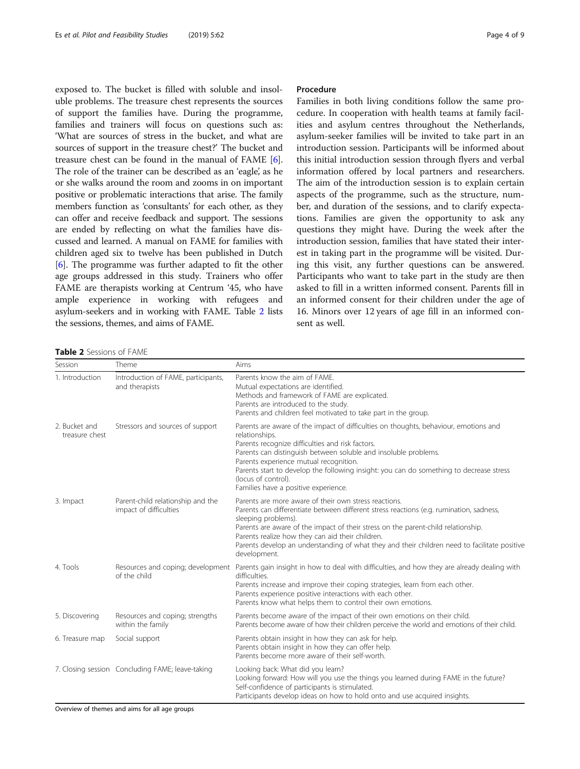exposed to. The bucket is filled with soluble and insoluble problems. The treasure chest represents the sources of support the families have. During the programme, families and trainers will focus on questions such as: 'What are sources of stress in the bucket, and what are sources of support in the treasure chest?' The bucket and treasure chest can be found in the manual of FAME [[6](#page-7-0)]. The role of the trainer can be described as an 'eagle', as he or she walks around the room and zooms in on important positive or problematic interactions that arise. The family members function as 'consultants' for each other, as they can offer and receive feedback and support. The sessions are ended by reflecting on what the families have discussed and learned. A manual on FAME for families with children aged six to twelve has been published in Dutch [[6\]](#page-7-0). The programme was further adapted to fit the other age groups addressed in this study. Trainers who offer FAME are therapists working at Centrum '45, who have ample experience in working with refugees and asylum-seekers and in working with FAME. Table 2 lists the sessions, themes, and aims of FAME.

# Procedure

Families in both living conditions follow the same procedure. In cooperation with health teams at family facilities and asylum centres throughout the Netherlands, asylum-seeker families will be invited to take part in an introduction session. Participants will be informed about this initial introduction session through flyers and verbal information offered by local partners and researchers. The aim of the introduction session is to explain certain aspects of the programme, such as the structure, number, and duration of the sessions, and to clarify expectations. Families are given the opportunity to ask any questions they might have. During the week after the introduction session, families that have stated their interest in taking part in the programme will be visited. During this visit, any further questions can be answered. Participants who want to take part in the study are then asked to fill in a written informed consent. Parents fill in an informed consent for their children under the age of 16. Minors over 12 years of age fill in an informed consent as well.

Table 2 Sessions of FAME

| Session                         | Theme                                                       | Aims                                                                                                                                                                                                                                                                                                                                                                                                                              |
|---------------------------------|-------------------------------------------------------------|-----------------------------------------------------------------------------------------------------------------------------------------------------------------------------------------------------------------------------------------------------------------------------------------------------------------------------------------------------------------------------------------------------------------------------------|
| 1. Introduction                 | Introduction of FAME, participants,<br>and therapists       | Parents know the aim of FAME.<br>Mutual expectations are identified.<br>Methods and framework of FAME are explicated.<br>Parents are introduced to the study.<br>Parents and children feel motivated to take part in the group.                                                                                                                                                                                                   |
| 2. Bucket and<br>treasure chest | Stressors and sources of support                            | Parents are aware of the impact of difficulties on thoughts, behaviour, emotions and<br>relationships.<br>Parents recognize difficulties and risk factors.<br>Parents can distinguish between soluble and insoluble problems.<br>Parents experience mutual recognition.<br>Parents start to develop the following insight: you can do something to decrease stress<br>(locus of control).<br>Families have a positive experience. |
| 3. Impact                       | Parent-child relationship and the<br>impact of difficulties | Parents are more aware of their own stress reactions.<br>Parents can differentiate between different stress reactions (e.g. rumination, sadness,<br>sleeping problems).<br>Parents are aware of the impact of their stress on the parent-child relationship.<br>Parents realize how they can aid their children.<br>Parents develop an understanding of what they and their children need to facilitate positive<br>development.  |
| 4. Tools                        | Resources and coping; development<br>of the child           | Parents gain insight in how to deal with difficulties, and how they are already dealing with<br>difficulties.<br>Parents increase and improve their coping strategies, learn from each other.<br>Parents experience positive interactions with each other.<br>Parents know what helps them to control their own emotions.                                                                                                         |
| 5. Discovering                  | Resources and coping; strengths<br>within the family        | Parents become aware of the impact of their own emotions on their child.<br>Parents become aware of how their children perceive the world and emotions of their child.                                                                                                                                                                                                                                                            |
| 6. Treasure map                 | Social support                                              | Parents obtain insight in how they can ask for help.<br>Parents obtain insight in how they can offer help.<br>Parents become more aware of their self-worth.                                                                                                                                                                                                                                                                      |
|                                 | 7. Closing session Concluding FAME; leave-taking            | Looking back: What did you learn?<br>Looking forward: How will you use the things you learned during FAME in the future?<br>Self-confidence of participants is stimulated.<br>Participants develop ideas on how to hold onto and use acquired insights.                                                                                                                                                                           |

Overview of themes and aims for all age groups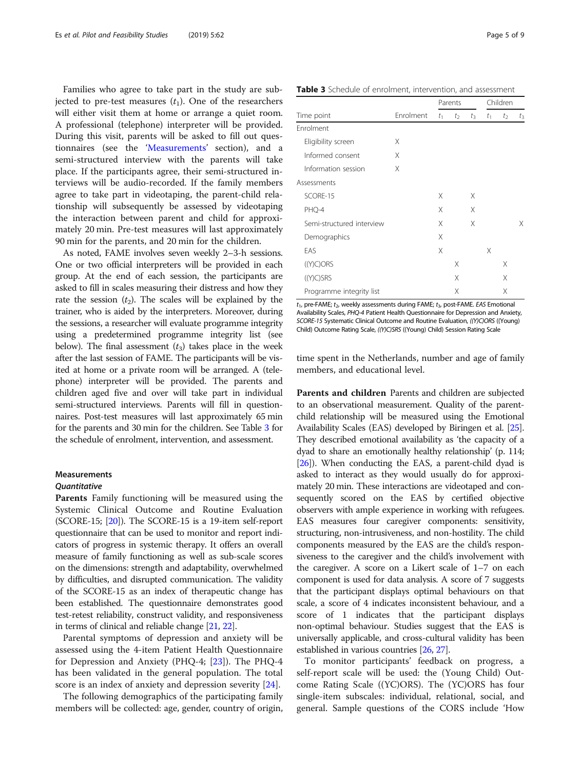Families who agree to take part in the study are subjected to pre-test measures  $(t_1)$ . One of the researchers will either visit them at home or arrange a quiet room. A professional (telephone) interpreter will be provided. During this visit, parents will be asked to fill out questionnaires (see the 'Measurements' section), and a semi-structured interview with the parents will take place. If the participants agree, their semi-structured interviews will be audio-recorded. If the family members agree to take part in videotaping, the parent-child relationship will subsequently be assessed by videotaping the interaction between parent and child for approximately 20 min. Pre-test measures will last approximately 90 min for the parents, and 20 min for the children.

As noted, FAME involves seven weekly 2–3-h sessions. One or two official interpreters will be provided in each group. At the end of each session, the participants are asked to fill in scales measuring their distress and how they rate the session  $(t_2)$ . The scales will be explained by the trainer, who is aided by the interpreters. Moreover, during the sessions, a researcher will evaluate programme integrity using a predetermined programme integrity list (see below). The final assessment  $(t_3)$  takes place in the week after the last session of FAME. The participants will be visited at home or a private room will be arranged. A (telephone) interpreter will be provided. The parents and children aged five and over will take part in individual semi-structured interviews. Parents will fill in questionnaires. Post-test measures will last approximately 65 min for the parents and 30 min for the children. See Table 3 for the schedule of enrolment, intervention, and assessment.

## Measurements

## **Quantitative**

Parents Family functioning will be measured using the Systemic Clinical Outcome and Routine Evaluation (SCORE-15; [\[20\]](#page-7-0)). The SCORE-15 is a 19-item self-report questionnaire that can be used to monitor and report indicators of progress in systemic therapy. It offers an overall measure of family functioning as well as sub-scale scores on the dimensions: strength and adaptability, overwhelmed by difficulties, and disrupted communication. The validity of the SCORE-15 as an index of therapeutic change has been established. The questionnaire demonstrates good test-retest reliability, construct validity, and responsiveness in terms of clinical and reliable change [[21](#page-7-0), [22](#page-7-0)].

Parental symptoms of depression and anxiety will be assessed using the 4-item Patient Health Questionnaire for Depression and Anxiety (PHQ-4; [[23\]](#page-7-0)). The PHQ-4 has been validated in the general population. The total score is an index of anxiety and depression severity [[24\]](#page-7-0).

The following demographics of the participating family members will be collected: age, gender, country of origin,

Table 3 Schedule of enrolment, intervention, and assessment

|                           | Enrolment | Parents |       |       | Children |       |       |
|---------------------------|-----------|---------|-------|-------|----------|-------|-------|
| Time point                |           | $t_1$   | $t_2$ | $t_3$ | $t_1$    | $t_2$ | $t_3$ |
| Enrolment                 |           |         |       |       |          |       |       |
| Eligibility screen        | X         |         |       |       |          |       |       |
| Informed consent          | X         |         |       |       |          |       |       |
| Information session       | X         |         |       |       |          |       |       |
| Assessments               |           |         |       |       |          |       |       |
| SCORE-15                  |           | Χ       |       | X     |          |       |       |
| PHQ-4                     |           | Χ       |       | X     |          |       |       |
| Semi-structured interview |           | Χ       |       | X     |          |       | X     |
| Demographics              |           | X       |       |       |          |       |       |
| <b>FAS</b>                |           | X       |       |       | X        |       |       |
| ((Y)C)ORS                 |           |         | X     |       |          | Χ     |       |
| ((Y)C)SRS                 |           |         | Χ     |       |          | Χ     |       |
| Programme integrity list  |           |         | Χ     |       |          | Χ     |       |

 $t_1$ , pre-FAME;  $t_2$ , weekly assessments during FAME;  $t_3$ , post-FAME. EAS Emotional Availability Scales, PHQ-4 Patient Health Questionnaire for Depression and Anxiety, SCORE-15 Systematic Clinical Outcome and Routine Evaluation, ((Y)C)ORS ((Young) Child) Outcome Rating Scale, ((Y)C)SRS ((Young) Child) Session Rating Scale

time spent in the Netherlands, number and age of family members, and educational level.

Parents and children Parents and children are subjected to an observational measurement. Quality of the parentchild relationship will be measured using the Emotional Availability Scales (EAS) developed by Biringen et al. [[25](#page-7-0)]. They described emotional availability as 'the capacity of a dyad to share an emotionally healthy relationship' (p. 114; [[26](#page-7-0)]). When conducting the EAS, a parent-child dyad is asked to interact as they would usually do for approximately 20 min. These interactions are videotaped and consequently scored on the EAS by certified objective observers with ample experience in working with refugees. EAS measures four caregiver components: sensitivity, structuring, non-intrusiveness, and non-hostility. The child components measured by the EAS are the child's responsiveness to the caregiver and the child's involvement with the caregiver. A score on a Likert scale of 1–7 on each component is used for data analysis. A score of 7 suggests that the participant displays optimal behaviours on that scale, a score of 4 indicates inconsistent behaviour, and a score of 1 indicates that the participant displays non-optimal behaviour. Studies suggest that the EAS is universally applicable, and cross-cultural validity has been established in various countries [[26](#page-7-0), [27\]](#page-8-0).

To monitor participants' feedback on progress, a self-report scale will be used: the (Young Child) Outcome Rating Scale ((YC)ORS). The (YC)ORS has four single-item subscales: individual, relational, social, and general. Sample questions of the CORS include 'How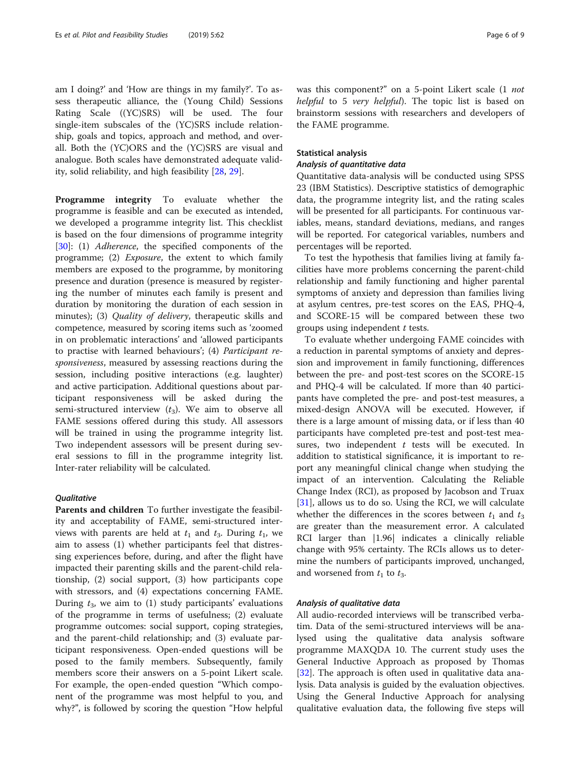am I doing?' and 'How are things in my family?'. To assess therapeutic alliance, the (Young Child) Sessions Rating Scale ((YC)SRS) will be used. The four single-item subscales of the (YC)SRS include relationship, goals and topics, approach and method, and overall. Both the (YC)ORS and the (YC)SRS are visual and analogue. Both scales have demonstrated adequate validity, solid reliability, and high feasibility [\[28](#page-8-0), [29](#page-8-0)].

Programme integrity To evaluate whether the programme is feasible and can be executed as intended, we developed a programme integrity list. This checklist is based on the four dimensions of programme integrity [[30\]](#page-8-0): (1) Adherence, the specified components of the programme; (2) Exposure, the extent to which family members are exposed to the programme, by monitoring presence and duration (presence is measured by registering the number of minutes each family is present and duration by monitoring the duration of each session in minutes); (3) *Quality of delivery*, therapeutic skills and competence, measured by scoring items such as 'zoomed in on problematic interactions' and 'allowed participants to practise with learned behaviours'; (4) Participant responsiveness, measured by assessing reactions during the session, including positive interactions (e.g. laughter) and active participation. Additional questions about participant responsiveness will be asked during the semi-structured interview  $(t_3)$ . We aim to observe all FAME sessions offered during this study. All assessors will be trained in using the programme integrity list. Two independent assessors will be present during several sessions to fill in the programme integrity list. Inter-rater reliability will be calculated.

# **Oualitative**

Parents and children To further investigate the feasibility and acceptability of FAME, semi-structured interviews with parents are held at  $t_1$  and  $t_3$ . During  $t_1$ , we aim to assess (1) whether participants feel that distressing experiences before, during, and after the flight have impacted their parenting skills and the parent-child relationship, (2) social support, (3) how participants cope with stressors, and (4) expectations concerning FAME. During  $t_3$ , we aim to (1) study participants' evaluations of the programme in terms of usefulness; (2) evaluate programme outcomes: social support, coping strategies, and the parent-child relationship; and (3) evaluate participant responsiveness. Open-ended questions will be posed to the family members. Subsequently, family members score their answers on a 5-point Likert scale. For example, the open-ended question "Which component of the programme was most helpful to you, and why?", is followed by scoring the question "How helpful was this component?" on a 5-point Likert scale (1 not helpful to 5 very helpful). The topic list is based on brainstorm sessions with researchers and developers of the FAME programme.

# Statistical analysis

# Analysis of quantitative data

Quantitative data-analysis will be conducted using SPSS 23 (IBM Statistics). Descriptive statistics of demographic data, the programme integrity list, and the rating scales will be presented for all participants. For continuous variables, means, standard deviations, medians, and ranges will be reported. For categorical variables, numbers and percentages will be reported.

To test the hypothesis that families living at family facilities have more problems concerning the parent-child relationship and family functioning and higher parental symptoms of anxiety and depression than families living at asylum centres, pre-test scores on the EAS, PHQ-4, and SCORE-15 will be compared between these two groups using independent  $t$  tests.

To evaluate whether undergoing FAME coincides with a reduction in parental symptoms of anxiety and depression and improvement in family functioning, differences between the pre- and post-test scores on the SCORE-15 and PHQ-4 will be calculated. If more than 40 participants have completed the pre- and post-test measures, a mixed-design ANOVA will be executed. However, if there is a large amount of missing data, or if less than 40 participants have completed pre-test and post-test measures, two independent  $t$  tests will be executed. In addition to statistical significance, it is important to report any meaningful clinical change when studying the impact of an intervention. Calculating the Reliable Change Index (RCI), as proposed by Jacobson and Truax [[31\]](#page-8-0), allows us to do so. Using the RCI, we will calculate whether the differences in the scores between  $t_1$  and  $t_3$ are greater than the measurement error. A calculated RCI larger than |1.96| indicates a clinically reliable change with 95% certainty. The RCIs allows us to determine the numbers of participants improved, unchanged, and worsened from  $t_1$  to  $t_3$ .

## Analysis of qualitative data

All audio-recorded interviews will be transcribed verbatim. Data of the semi-structured interviews will be analysed using the qualitative data analysis software programme MAXQDA 10. The current study uses the General Inductive Approach as proposed by Thomas [[32\]](#page-8-0). The approach is often used in qualitative data analysis. Data analysis is guided by the evaluation objectives. Using the General Inductive Approach for analysing qualitative evaluation data, the following five steps will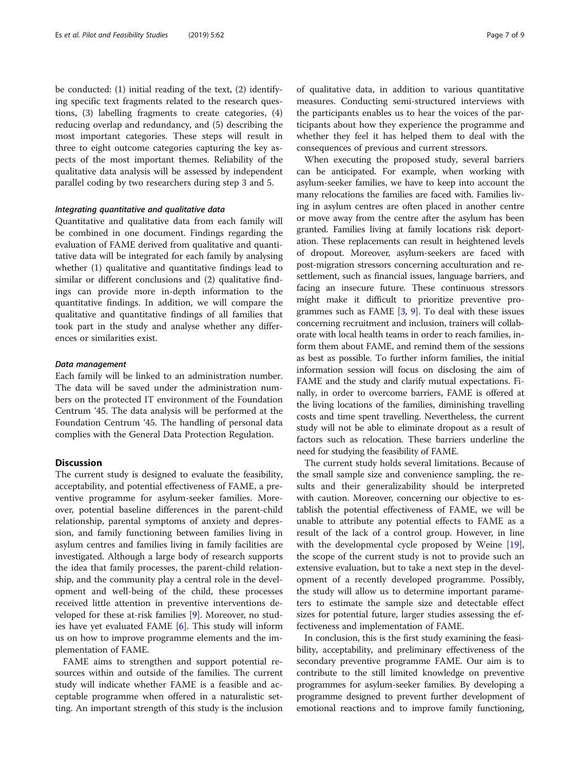be conducted: (1) initial reading of the text, (2) identifying specific text fragments related to the research questions, (3) labelling fragments to create categories, (4) reducing overlap and redundancy, and (5) describing the most important categories. These steps will result in three to eight outcome categories capturing the key aspects of the most important themes. Reliability of the qualitative data analysis will be assessed by independent parallel coding by two researchers during step 3 and 5.

## Integrating quantitative and qualitative data

Quantitative and qualitative data from each family will be combined in one document. Findings regarding the evaluation of FAME derived from qualitative and quantitative data will be integrated for each family by analysing whether (1) qualitative and quantitative findings lead to similar or different conclusions and (2) qualitative findings can provide more in-depth information to the quantitative findings. In addition, we will compare the qualitative and quantitative findings of all families that took part in the study and analyse whether any differences or similarities exist.

## Data management

Each family will be linked to an administration number. The data will be saved under the administration numbers on the protected IT environment of the Foundation Centrum '45. The data analysis will be performed at the Foundation Centrum '45. The handling of personal data complies with the General Data Protection Regulation.

# Discussion

The current study is designed to evaluate the feasibility, acceptability, and potential effectiveness of FAME, a preventive programme for asylum-seeker families. Moreover, potential baseline differences in the parent-child relationship, parental symptoms of anxiety and depression, and family functioning between families living in asylum centres and families living in family facilities are investigated. Although a large body of research supports the idea that family processes, the parent-child relationship, and the community play a central role in the development and well-being of the child, these processes received little attention in preventive interventions developed for these at-risk families [[9](#page-7-0)]. Moreover, no studies have yet evaluated FAME [[6\]](#page-7-0). This study will inform us on how to improve programme elements and the implementation of FAME.

FAME aims to strengthen and support potential resources within and outside of the families. The current study will indicate whether FAME is a feasible and acceptable programme when offered in a naturalistic setting. An important strength of this study is the inclusion of qualitative data, in addition to various quantitative measures. Conducting semi-structured interviews with the participants enables us to hear the voices of the participants about how they experience the programme and whether they feel it has helped them to deal with the consequences of previous and current stressors.

When executing the proposed study, several barriers can be anticipated. For example, when working with asylum-seeker families, we have to keep into account the many relocations the families are faced with. Families living in asylum centres are often placed in another centre or move away from the centre after the asylum has been granted. Families living at family locations risk deportation. These replacements can result in heightened levels of dropout. Moreover, asylum-seekers are faced with post-migration stressors concerning acculturation and resettlement, such as financial issues, language barriers, and facing an insecure future. These continuous stressors might make it difficult to prioritize preventive programmes such as FAME  $[3, 9]$  $[3, 9]$  $[3, 9]$ . To deal with these issues concerning recruitment and inclusion, trainers will collaborate with local health teams in order to reach families, inform them about FAME, and remind them of the sessions as best as possible. To further inform families, the initial information session will focus on disclosing the aim of FAME and the study and clarify mutual expectations. Finally, in order to overcome barriers, FAME is offered at the living locations of the families, diminishing travelling costs and time spent travelling. Nevertheless, the current study will not be able to eliminate dropout as a result of factors such as relocation. These barriers underline the need for studying the feasibility of FAME.

The current study holds several limitations. Because of the small sample size and convenience sampling, the results and their generalizability should be interpreted with caution. Moreover, concerning our objective to establish the potential effectiveness of FAME, we will be unable to attribute any potential effects to FAME as a result of the lack of a control group. However, in line with the developmental cycle proposed by Weine [\[19](#page-7-0)], the scope of the current study is not to provide such an extensive evaluation, but to take a next step in the development of a recently developed programme. Possibly, the study will allow us to determine important parameters to estimate the sample size and detectable effect sizes for potential future, larger studies assessing the effectiveness and implementation of FAME.

In conclusion, this is the first study examining the feasibility, acceptability, and preliminary effectiveness of the secondary preventive programme FAME. Our aim is to contribute to the still limited knowledge on preventive programmes for asylum-seeker families. By developing a programme designed to prevent further development of emotional reactions and to improve family functioning,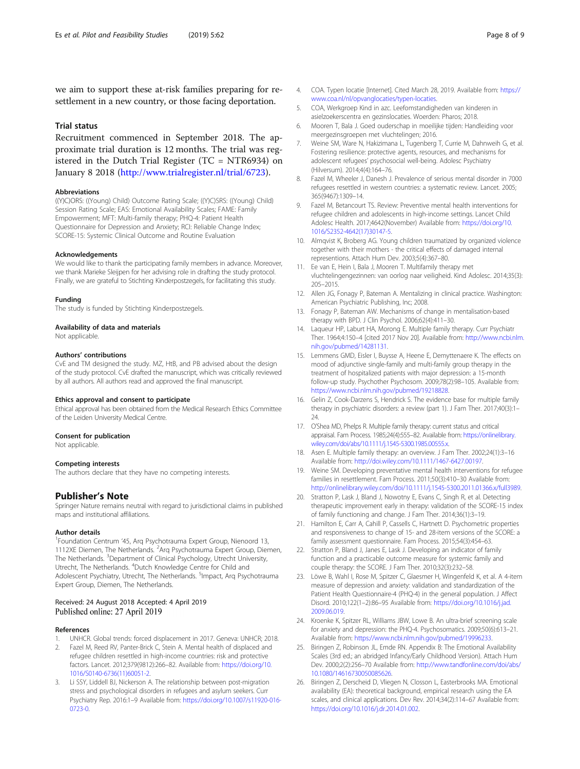<span id="page-7-0"></span>we aim to support these at-risk families preparing for resettlement in a new country, or those facing deportation.

# Trial status

Recruitment commenced in September 2018. The approximate trial duration is 12 months. The trial was registered in the Dutch Trial Register (TC = NTR6934) on January 8 2018 ([http://www.trialregister.nl/trial/6723\)](http://www.trialregister.nl/trial/6723).

## Abbreviations

((Y)C)ORS: ((Young) Child) Outcome Rating Scale; ((Y)C)SRS: ((Young) Child) Session Rating Scale; EAS: Emotional Availability Scales; FAME: Family Empowerment; MFT: Multi-family therapy; PHQ-4: Patient Health Questionnaire for Depression and Anxiety; RCI: Reliable Change Index; SCORE-15: Systemic Clinical Outcome and Routine Evaluation

## Acknowledgements

We would like to thank the participating family members in advance. Moreover, we thank Marieke Sleijpen for her advising role in drafting the study protocol. Finally, we are grateful to Stichting Kinderpostzegels, for facilitating this study.

## Funding

The study is funded by Stichting Kinderpostzegels.

#### Availability of data and materials

Not applicable.

## Authors' contributions

CvE and TM designed the study. MZ, HtB, and PB advised about the design of the study protocol. CvE drafted the manuscript, which was critically reviewed by all authors. All authors read and approved the final manuscript.

#### Ethics approval and consent to participate

Ethical approval has been obtained from the Medical Research Ethics Committee of the Leiden University Medical Centre.

#### Consent for publication

Not applicable.

## Competing interests

The authors declare that they have no competing interests.

## Publisher's Note

Springer Nature remains neutral with regard to jurisdictional claims in published maps and institutional affiliations.

## Author details

<sup>1</sup> Foundation Centrum '45, Arq Psychotrauma Expert Group, Nienoord 13, 1112XE Diemen, The Netherlands. <sup>2</sup>Arq Psychotrauma Expert Group, Diemen, The Netherlands. <sup>3</sup>Department of Clinical Psychology, Utrecht University, Utrecht, The Netherlands. <sup>4</sup>Dutch Knowledge Centre for Child and Adolescent Psychiatry, Utrecht, The Netherlands. <sup>5</sup>Impact, Arq Psychotrauma Expert Group, Diemen, The Netherlands.

## Received: 24 August 2018 Accepted: 4 April 2019 Published online: 27 April 2019

## References

- 1. UNHCR. Global trends: forced displacement in 2017. Geneva: UNHCR; 2018.
- 2. Fazel M, Reed RV, Panter-Brick C, Stein A. Mental health of displaced and refugee children resettled in high-income countries: risk and protective factors. Lancet. 2012;379(9812):266–82. Available from: [https://doi.org/10.](https://doi.org/10.1016/S0140-6736(11)60051-2) [1016/S0140-6736\(11\)60051-2.](https://doi.org/10.1016/S0140-6736(11)60051-2)
- Li SSY, Liddell BJ, Nickerson A. The relationship between post-migration stress and psychological disorders in refugees and asylum seekers. Curr Psychiatry Rep. 2016:1–9 Available from: [https://doi.org/10.1007/s11920-016-](https://doi.org/10.1007/s11920-016-0723-0) [0723-0.](https://doi.org/10.1007/s11920-016-0723-0)
- 4. COA. Typen locatie [Internet]. Cited March 28, 2019. Available from: [https://](https://www.coa.nl/nl/opvanglocaties/typen-locaties) [www.coa.nl/nl/opvanglocaties/typen-locaties.](https://www.coa.nl/nl/opvanglocaties/typen-locaties)
- 5. COA, Werkgroep Kind in azc. Leefomstandigheden van kinderen in asielzoekerscentra en gezinslocaties. Woerden: Pharos; 2018.
- 6. Mooren T, Bala J. Goed ouderschap in moeilijke tijden: Handleiding voor meergezinsgroepen met vluchtelingen; 2016.
- 7. Weine SM, Ware N, Hakizimana L, Tugenberg T, Currie M, Dahnweih G, et al. Fostering resilience: protective agents, resources, and mechanisms for adolescent refugees' psychosocial well-being. Adolesc Psychiatry (Hilversum). 2014;4(4):164–76.
- Fazel M, Wheeler J, Danesh J. Prevalence of serious mental disorder in 7000 refugees resettled in western countries: a systematic review. Lancet. 2005; 365(9467):1309–14.
- 9. Fazel M, Betancourt TS. Review: Preventive mental health interventions for refugee children and adolescents in high-income settings. Lancet Child Adolesc Health. 2017;4642(November) Available from: [https://doi.org/10.](https://doi.org/10.1016/S2352-4642(17)30147-5) [1016/S2352-4642\(17\)30147-5.](https://doi.org/10.1016/S2352-4642(17)30147-5)
- 10. Almqvist K, Broberg AG. Young children traumatized by organized violence together with their mothers - the critical effects of damaged internal representions. Attach Hum Dev. 2003;5(4):367–80.
- 11. Ee van E, Hein I, Bala J, Mooren T. Multifamily therapy met vluchtelingengezinnen: van oorlog naar veiligheid. Kind Adolesc. 2014;35(3): 205–2015.
- 12. Allen JG, Fonagy P, Bateman A. Mentalizing in clinical practice. Washington: American Psychiatric Publishing, Inc; 2008.
- 13. Fonagy P, Bateman AW. Mechanisms of change in mentalisation-based therapy with BPD. J Clin Psychol. 2006;62(4):411–30.
- 14. Laqueur HP, Laburt HA, Morong E. Multiple family therapy. Curr Psychiatr Ther. 1964;4:150–4 [cited 2017 Nov 20]. Available from: [http://www.ncbi.nlm.](http://www.ncbi.nlm.nih.gov/pubmed/14281131) [nih.gov/pubmed/14281131](http://www.ncbi.nlm.nih.gov/pubmed/14281131).
- 15. Lemmens GMD, Eisler I, Buysse A, Heene E, Demyttenaere K. The effects on mood of adjunctive single-family and multi-family group therapy in the treatment of hospitalized patients with major depression: a 15-month follow-up study. Psychother Psychosom. 2009;78(2):98–105. Available from: <https://www.ncbi.nlm.nih.gov/pubmed/19218828>.
- 16. Gelin Z, Cook-Darzens S, Hendrick S. The evidence base for multiple family therapy in psychiatric disorders: a review (part 1). J Fam Ther. 2017;40(3):1– 24.
- 17. O'Shea MD, Phelps R. Multiple family therapy: current status and critical appraisal. Fam Process. 1985;24(4):555–82. Available from: [https://onlinelibrary.](https://onlinelibrary.wiley.com/doi/abs/10.1111/j.1545-5300.1985.00555.x) [wiley.com/doi/abs/10.1111/j.1545-5300.1985.00555.x](https://onlinelibrary.wiley.com/doi/abs/10.1111/j.1545-5300.1985.00555.x).
- 18. Asen E. Multiple family therapy: an overview. J Fam Ther. 2002;24(1):3–16 Available from: <http://doi.wiley.com/10.1111/1467-6427.00197>.
- 19. Weine SM. Developing preventative mental health interventions for refugee families in resettlement. Fam Process. 2011;50(3):410–30 Available from: [http://onlinelibrary.wiley.com/doi/10.1111/j.1545-5300.2011.01366.x/full3989.](http://onlinelibrary.wiley.com/doi/10.1111/j.1545-5300.2011.01366.x/full3989)
- 20. Stratton P, Lask J, Bland J, Nowotny E, Evans C, Singh R, et al. Detecting therapeutic improvement early in therapy: validation of the SCORE-15 index of family functioning and change. J Fam Ther. 2014;36(1):3–19.
- 21. Hamilton E, Carr A, Cahill P, Cassells C, Hartnett D. Psychometric properties and responsiveness to change of 15- and 28-item versions of the SCORE: a family assessment questionnaire. Fam Process. 2015;54(3):454–63.
- 22. Stratton P, Bland J, Janes E, Lask J. Developing an indicator of family function and a practicable outcome measure for systemic family and couple therapy: the SCORE. J Fam Ther. 2010;32(3):232–58.
- 23. Löwe B, Wahl I, Rose M, Spitzer C, Glaesmer H, Wingenfeld K, et al. A 4-item measure of depression and anxiety: validation and standardization of the Patient Health Questionnaire-4 (PHQ-4) in the general population. J Affect Disord. 2010;122(1–2):86–95 Available from: [https://doi.org/10.1016/j.jad.](https://doi.org/10.1016/j.jad.2009.06.019) [2009.06.019.](https://doi.org/10.1016/j.jad.2009.06.019)
- 24. Kroenke K, Spitzer RL, Williams JBW, Lowe B. An ultra-brief screening scale for anxiety and depression: the PHQ-4. Psychosomatics. 2009;50(6):613–21. Available from: [https://www.ncbi.nlm.nih.gov/pubmed/19996233.](https://www.ncbi.nlm.nih.gov/pubmed/19996233)
- 25. Biringen Z, Robinson JL, Emde RN. Appendix B: The Emotional Availability Scales (3rd ed.; an abridged Infancy/Early Childhood Version). Attach Hum Dev. 2000;2(2):256–70 Available from: [http://www.tandfonline.com/doi/abs/](http://www.tandfonline.com/doi/abs/10.1080/14616730050085626) [10.1080/14616730050085626.](http://www.tandfonline.com/doi/abs/10.1080/14616730050085626)
- 26. Biringen Z, Derscheid D, Vliegen N, Closson L, Easterbrooks MA. Emotional availability (EA): theoretical background, empirical research using the EA scales, and clinical applications. Dev Rev. 2014;34(2):114–67 Available from: [https://doi.org/10.1016/j.dr.2014.01.002.](https://doi.org/10.1016/j.dr.2014.01.002)